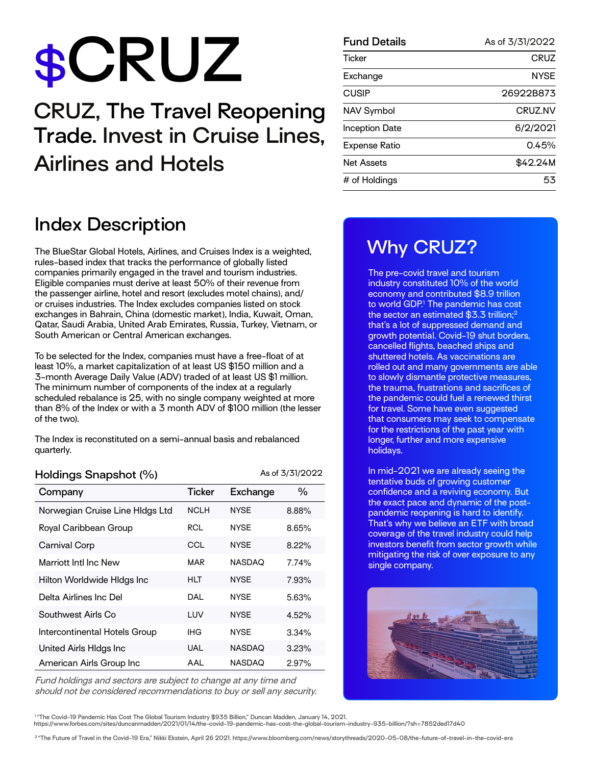# $$CRUZ$

### **CRUZ, The Travel Reopening Trade. Invest in Cruise Lines, Airlines and Hotels**

| <b>Index Description</b> |  |  |  |
|--------------------------|--|--|--|
|--------------------------|--|--|--|

The BlueStar Global Hotels, Airlines, and Cruises Index is a weighted, rules-based index that tracks the performance of globally listed companies primarily engaged in the travel and tourism industries. Eligible companies must derive at least 50% of their revenue from the passenger airline, hotel and resort (excludes motel chains), and/ or cruises industries. The Index excludes companies listed on stock exchanges in Bahrain, China (domestic market), India, Kuwait, Oman, Qatar, Saudi Arabia, United Arab Emirates, Russia, Turkey, Vietnam, or South American or Central American exchanges.

To be selected for the Index, companies must have a free-float of at least 10%, a market capitalization of at least US \$150 million and a 3-month Average Daily Value (ADV) traded of at least US \$1 million. The minimum number of components of the index at a regularly scheduled rebalance is 25, with no single company weighted at more than 8% of the Index or with a 3 month ADV of \$100 million (the lesser of the two).

The Index is reconstituted on a semi-annual basis and rebalanced quarterly.

**Holdings Snapshot (%)** As of 3/31/2022

| Company                         | <b>Ticker</b> | Exchange      | $\%$     |
|---------------------------------|---------------|---------------|----------|
| Norwegian Cruise Line HIdgs Ltd | <b>NCLH</b>   | <b>NYSE</b>   | 8.88%    |
| Royal Caribbean Group           | <b>RCL</b>    | <b>NYSE</b>   | 8.65%    |
| Carnival Corp                   | CCL           | <b>NYSE</b>   | $8.22\%$ |
| Marriott Intl Inc New           | MAR           | <b>NASDAQ</b> | 7.74%    |
| Hilton Worldwide HIdgs Inc      | HLT           | <b>NYSE</b>   | 7.93%    |
| Delta Airlines Inc Del          | DAL           | <b>NYSE</b>   | 5.63%    |
| Southwest Airls Co              | LUV           | <b>NYSE</b>   | 4.52%    |
| Intercontinental Hotels Group   | <b>IHG</b>    | <b>NYSE</b>   | 3.34%    |
| United Airls Hldgs Inc          | <b>UAL</b>    | <b>NASDAQ</b> | 3.23%    |
| American Airls Group Inc        | AAL           | <b>NASDAQ</b> | 2.97%    |

Fund holdings and sectors are subject to change at any time and should not be considered recommendations to buy or sell any security.

| <b>Fund Details</b>   | As of 3/31/2022 |
|-----------------------|-----------------|
| <b>Ticker</b>         | CRUZ            |
| Exchange              | <b>NYSE</b>     |
| <b>CUSIP</b>          | 26922B873       |
| NAV Symbol            | CRUZ.NV         |
| <b>Inception Date</b> | 6/2/2021        |
| Expense Ratio         | 0.45%           |
| Net Assets            | \$42.24M        |
| # of Holdings         | 53              |

#### **Why CRUZ?**

The pre-covid travel and tourism industry constituted 10% of the world economy and contributed \$8.9 trillion to world GDP.<sup>1</sup> The pandemic has cost the sector an estimated \$3.3 trillion;<sup>2</sup> that's a lot of suppressed demand and growth potential. Covid-19 shut borders, cancelled flights, beached ships and shuttered hotels. As vaccinations are rolled out and many governments are able to slowly dismantle protective measures, the trauma, frustrations and sacrifices of the pandemic could fuel a renewed thirst for travel. Some have even suggested that consumers may seek to compensate for the restrictions of the past year with longer, further and more expensive holidays.

In mid-2021 we are already seeing the tentative buds of growing customer confidence and a reviving economy. But the exact pace and dynamic of the postpandemic reopening is hard to identify. That's why we believe an ETF with broad coverage of the travel industry could help investors benefit from sector growth while mitigating the risk of over exposure to any single company.



<sup>1</sup> "The Covid-19 Pandemic Has Cost The Global Tourism Industry \$935 Billion," Duncan Madden, January 14, 2021. **https://www.forbes.com/sites/duncanmadden/2021/01/14/the-covid-19-pandemic-has-cost-the-global-tourism-industry-935-billion/?sh=7852ded17d40** 

<sup>2</sup>"The Future of Travel in the Covid-19 Era," Nikki Ekstein, April 26 2021. https://www.bloomberg.com/news/storythreads/2020-05-08/the-future-of-travel-in-the-covid-era